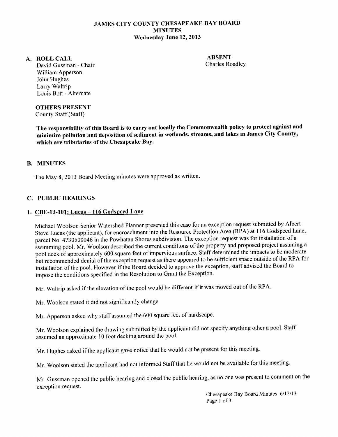## JAMES CITY COUNTY CHESAPEAKE BAY BOARD **MINUTES** Wednesday June 12, 2013

#### A. ROLLCALL

ABSENT Charles Roadley

David Gussman - Chair William Apperson John Hughes Larry Waltrip Louis Bott - Alternate

OTHERS PRESENT

County Staff (Staff)

The responsibility of this Board is to carry out locally the Commonwealth policy to protect against and minimize pollution and deposition of sediment in wetlands, streams, and lakes in James City County, which are tributaries of the Chesapeake Bay.

## B. MINUTES

The May 8, 2013 Board Meeting minutes were approved as written.

## C. PUBLIC HEARINGS

#### 1. CBE-13-101: Lucas- 116 Godspeed Lane

Michael Woolson Senior Watershed Planner presented this case for an exception request submitted by Albert Steve Lucas (the applicant), for encroachment into the Resource Protection Area (RPA) at 116 Godspeed Lane, parcel No. 4730500046 in the Powhatan Shores subdivision. The exception request was for installation of a swimming pool. Mr. Woolson described the current conditions of the property and proposed project assuming a pool deck of approximately 600 square feet of impervious surface. Staff determined the impacts to be moderate but recommended denial of the exception request as there appeared to be sufficient space outside ofthe RPA for installation of the pool. However if the Board decided to approve the exception, staff advised the Board to impose the conditions specified in the Resolution to Grant the Exception.

Mr. Waltrip asked if the elevation of the pool would be different if it was moved out of the RPA.

Mr. Woolson stated it did not significantly change

Mr. Apperson asked why staff assumed the 600 square feet of hardscape.

Mr. Woolson explained the drawing submitted by the applicant did not specify anything other a pool. Staff assumed an approximate 10 foot decking around the pool.

Mr. Hughes asked if the applicant gave notice that he would not be present for this meeting.

Mr. Woolson stated the applicant had not informed Staff that he would not be available for this meeting.

Mr. Gussman opened the public hearing and closed the public hearing, as no one was present to comment on the exception request.

> Chesapeake Bay Board Minutes 6/12/13 Page 1 of 3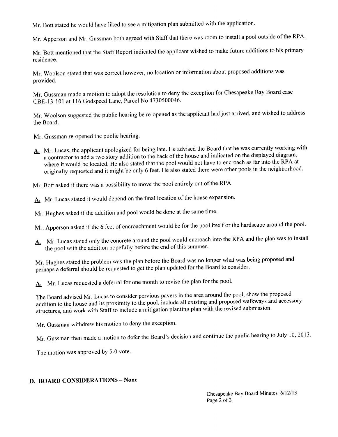Mr. Batt stated he would have liked to see a mitigation plan submitted with the application.

Mr. Apperson and Mr. Gussman both agreed with Staff that there was room to install a pool outside of the RPA.

Mr. Bott mentioned that the Staff Report indicated the applicant wished to make future additions to his primary residence.

Mr. Woolson stated that was correct however, no location or information about proposed additions was provided.

Mr. Gussman made a motion to adopt the resolution to deny the exception for Chesapeake Bay Board case CBE-13-101 at 116 Godspeed Lane, Parcel No 4730500046.

Mr. Woolson suggested the public hearing be re-opened as the applicant had just arrived, and wished to address the Board.

- Mr. Gussman re-opened the public hearing.
- A. Mr. Lucas, the applicant apologized for being late. He advised the Board that he was currently working with a contractor to add a two story addition to the back of the house and indicated on the displayed diagram, where it would be located. He also stated that the pool would not have to encroach as far into the RPA at originally requested and it might be only 6 feet. He also stated there were other pools in the neighborhood.

Mr. Bott asked if there was a possibility to move the pool entirely out of the RPA.

A. Mr. Lucas stated it would depend on the final location of the house expansion.

Mr. Hughes asked if the addition and pool would be done at the same time.

Mr. Apperson asked if the 6 feet of encroachment would be for the pool itself or the hardscape around the pool.

A. Mr. Lucas stated only the concrete around the pool would encroach into the RPA and the plan was to install the pool with the addition hopefully before the end of this summer.

Mr. Hughes stated the problem was the plan before the Board was no longer what was being proposed and perhaps a deferral should be requested to get the plan updated for the Board to consider.

A. Mr. Lucas requested a deferral for one month to revise the plan for the pool.

The Board advised Mr. Lucas to consider pervious pavers in the area around the pool, show the proposed addition to the house and its proximity to the pool, include all existing and proposed walkways and accessory structures, and work with Staff to include a mitigation planting plan with the revised submission.

Mr. Gussman withdrew his motion to deny the exception.

Mr. Gussman then made a motion to defer the Board's decision and continue the public hearing to July 10,2013.

The motion was approved by 5-0 vote.

## **D. BOARD CONSIDERATIONS- None**

Chesapeake Bay Board Minutes 6/12/13 Page 2 of 3